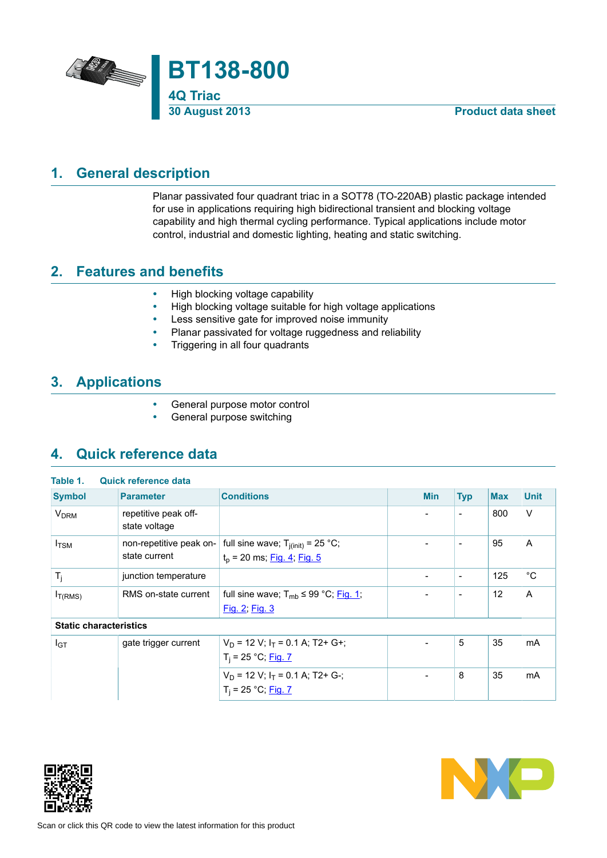

# **1. General description**

<span id="page-0-0"></span>Planar passivated four quadrant triac in a SOT78 (TO-220AB) plastic package intended for use in applications requiring high bidirectional transient and blocking voltage capability and high thermal cycling performance. Typical applications include motor control, industrial and domestic lighting, heating and static switching.

# **2. Features and benefits**

- <span id="page-0-1"></span>• High blocking voltage capability
- High blocking voltage suitable for high voltage applications
- Less sensitive gate for improved noise immunity
- Planar passivated for voltage ruggedness and reliability<br>• Triggering in all four quadrants
- Triggering in all four quadrants

# **3. Applications**

- <span id="page-0-2"></span>• General purpose motor control
- <span id="page-0-3"></span>• General purpose switching

# **4. Quick reference data**

| <b>Symbol</b>                 | <b>Parameter</b>                         | <b>Conditions</b>                                                          | <b>Min</b>               | <b>Typ</b>                   | <b>Max</b>        | <b>Unit</b>  |
|-------------------------------|------------------------------------------|----------------------------------------------------------------------------|--------------------------|------------------------------|-------------------|--------------|
| <b>V<sub>DRM</sub></b>        | repetitive peak off-<br>state voltage    |                                                                            | ۰                        | $\overline{\phantom{a}}$     | 800               | $\vee$       |
| $I_{TSM}$                     | non-repetitive peak on-<br>state current | full sine wave; $T_{j(int)} = 25 °C$ ;<br>$t_p$ = 20 ms; $Fig. 4$ ; Fig. 5 | ۰                        | $\overline{\phantom{a}}$     | 95                | A            |
| $T_i$                         | junction temperature                     |                                                                            | $\overline{\phantom{a}}$ | $\overline{\phantom{a}}$     | 125               | $^{\circ}$ C |
| I <sub>T(RMS)</sub>           | RMS on-state current                     | full sine wave; $T_{mb} \leq 99$ °C; Fig. 1;<br>Fig. 2; Fig. 3             |                          | $\qquad \qquad \blacksquare$ | $12 \overline{ }$ | A            |
| <b>Static characteristics</b> |                                          |                                                                            |                          |                              |                   |              |
| $I_{GT}$                      | gate trigger current                     | $V_D$ = 12 V; $I_T$ = 0.1 A; T2+ G+;<br>$T_i = 25 °C;$ Fig. 7              |                          | 5                            | 35                | mA           |
|                               |                                          | $V_D$ = 12 V; $I_T$ = 0.1 A; T2+ G-;<br>$T_i = 25 °C;$ Fig. 7              | ۰                        | 8                            | 35                | <b>mA</b>    |



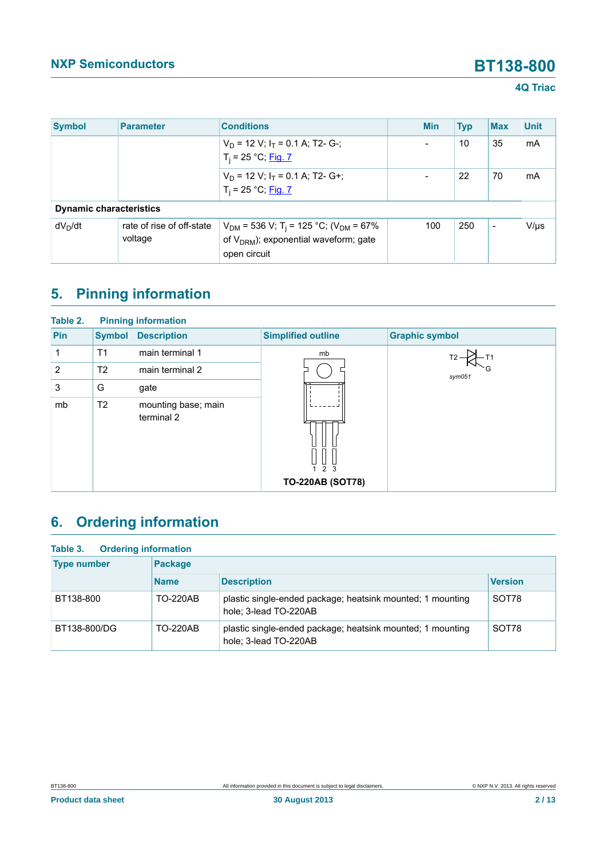| <b>Symbol</b>                  | <b>Parameter</b>                     | <b>Conditions</b>                                                                                                               | <b>Min</b> | <b>Typ</b> | <b>Max</b> | <b>Unit</b> |
|--------------------------------|--------------------------------------|---------------------------------------------------------------------------------------------------------------------------------|------------|------------|------------|-------------|
|                                |                                      | $V_D$ = 12 V; $I_T$ = 0.1 A; T2- G-;<br>$T_i = 25 °C;$ Fig. 7                                                                   |            | 10         | 35         | mA          |
|                                |                                      | $V_D$ = 12 V; $I_T$ = 0.1 A; T2- G+;<br>$T_i = 25 °C;$ Fig. 7                                                                   |            | 22         | 70         | mA          |
| <b>Dynamic characteristics</b> |                                      |                                                                                                                                 |            |            |            |             |
| $dV_D/dt$                      | rate of rise of off-state<br>voltage | $V_{DM}$ = 536 V; T <sub>i</sub> = 125 °C; (V <sub>DM</sub> = 67%<br>of $V_{DRM}$ ); exponential waveform; gate<br>open circuit | 100        | 250        | ÷          | $V/\mu s$   |

# <span id="page-1-0"></span>**5. Pinning information**

| Table 2. |                | <b>Pinning information</b>        |                             |                       |
|----------|----------------|-----------------------------------|-----------------------------|-----------------------|
| Pin      | <b>Symbol</b>  | <b>Description</b>                | <b>Simplified outline</b>   | <b>Graphic symbol</b> |
| 1        | T1             | main terminal 1                   | mb                          |                       |
| 2        | T <sub>2</sub> | main terminal 2                   |                             | sym051                |
| 3        | G              | gate                              |                             |                       |
| mb       | T <sub>2</sub> | mounting base; main<br>terminal 2 | $\frac{1}{2}$ $\frac{1}{3}$ |                       |
|          |                |                                   | <b>TO-220AB (SOT78)</b>     |                       |

# <span id="page-1-1"></span>**6. Ordering information**

| <b>Type number</b> | Package         |                                                                                     |                |
|--------------------|-----------------|-------------------------------------------------------------------------------------|----------------|
|                    | <b>Name</b>     | <b>Description</b>                                                                  | <b>Version</b> |
| BT138-800          | <b>TO-220AB</b> | plastic single-ended package; heatsink mounted; 1 mounting<br>hole; 3-lead TO-220AB | SOT78          |
| BT138-800/DG       | <b>TO-220AB</b> | plastic single-ended package; heatsink mounted; 1 mounting<br>hole; 3-lead TO-220AB | SOT78          |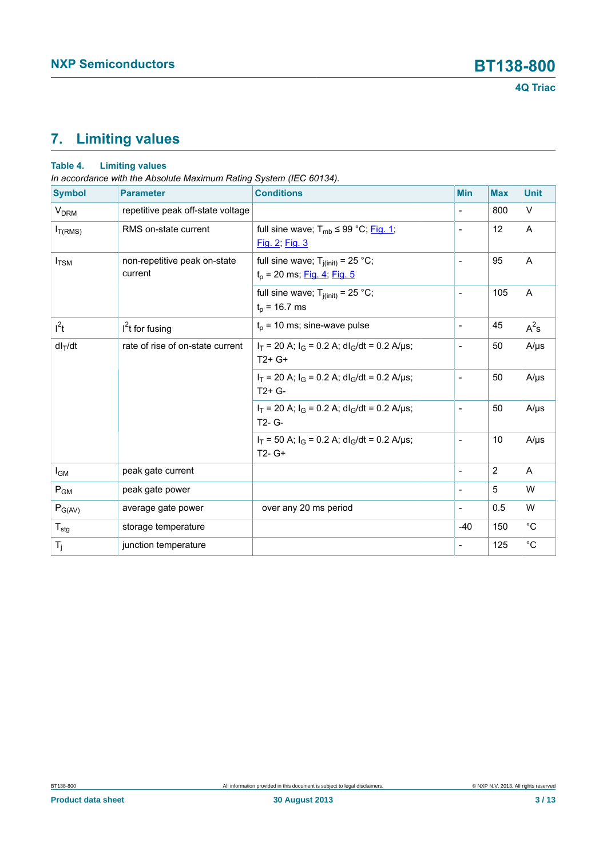# <span id="page-2-0"></span>**7. Limiting values**

### **Table 4. Limiting values**

*In accordance with the Absolute Maximum Rating System (IEC 60134).*

| <b>Symbol</b>          | <b>Parameter</b>                        | <b>Conditions</b>                                                          | <b>Min</b>               | <b>Max</b> | <b>Unit</b> |
|------------------------|-----------------------------------------|----------------------------------------------------------------------------|--------------------------|------------|-------------|
| <b>V<sub>DRM</sub></b> | repetitive peak off-state voltage       |                                                                            | $\overline{\phantom{a}}$ | 800        | $\vee$      |
| $I_{T(RMS)}$           | RMS on-state current                    | full sine wave; $T_{mb} \leq 99 \degree C$ ; Fig. 1;<br>Fig. 2; Fig. 3     | ÷                        | 12         | A           |
| $I_{\text{TSM}}$       | non-repetitive peak on-state<br>current | full sine wave; $T_{j(int)} = 25 °C$ ;<br>$t_p$ = 20 ms; Fig. 4; Fig. 5    |                          | 95         | A           |
|                        |                                         | full sine wave; $T_{j(int)} = 25$ °C;<br>$t_0$ = 16.7 ms                   | $\blacksquare$           | 105        | A           |
| $I^2t$                 | $I2t$ for fusing                        | $t_p$ = 10 ms; sine-wave pulse                                             | $\overline{\phantom{a}}$ | 45         | $A^2s$      |
| $dl_T/dt$              | rate of rise of on-state current        | $I_T$ = 20 A; $I_G$ = 0.2 A; dl <sub>G</sub> /dt = 0.2 A/µs;<br>$T2+G+$    | $\overline{a}$           | 50         | $A/\mu s$   |
|                        |                                         | $I_T$ = 20 A; $I_G$ = 0.2 A; dl <sub>G</sub> /dt = 0.2 A/µs;<br>$T2+G-$    | ÷                        | 50         | $A/\mu s$   |
|                        |                                         | $I_T$ = 20 A; $I_G$ = 0.2 A; dl <sub>G</sub> /dt = 0.2 A/µs;<br>$T2 - G -$ | $\overline{a}$           | 50         | $A/\mu s$   |
|                        |                                         | $I_T$ = 50 A; $I_G$ = 0.2 A; dl <sub>G</sub> /dt = 0.2 A/µs;<br>$T2 - G+$  | $\overline{\phantom{a}}$ | 10         | $A/\mu s$   |
| $I_{GM}$               | peak gate current                       |                                                                            | $\overline{\phantom{a}}$ | 2          | A           |
| $P_{GM}$               | peak gate power                         |                                                                            | $\blacksquare$           | 5          | W           |
| $P_{G(AV)}$            | average gate power                      | over any 20 ms period                                                      | $\overline{\phantom{a}}$ | 0.5        | W           |
| $T_{\text{stg}}$       | storage temperature                     |                                                                            | $-40$                    | 150        | $^{\circ}C$ |
| $T_j$                  | junction temperature                    |                                                                            | $\overline{a}$           | 125        | $^{\circ}C$ |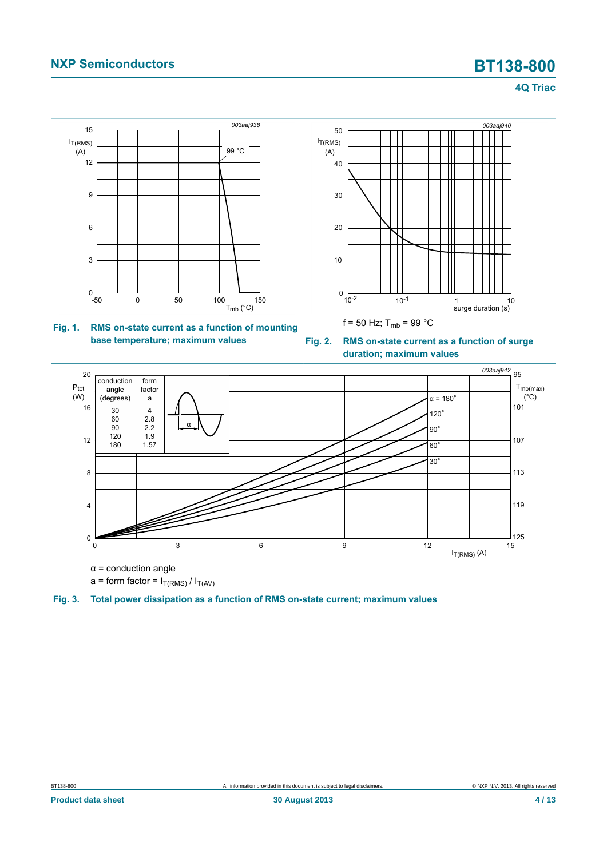<span id="page-3-1"></span>**4Q Triac**

<span id="page-3-2"></span><span id="page-3-0"></span>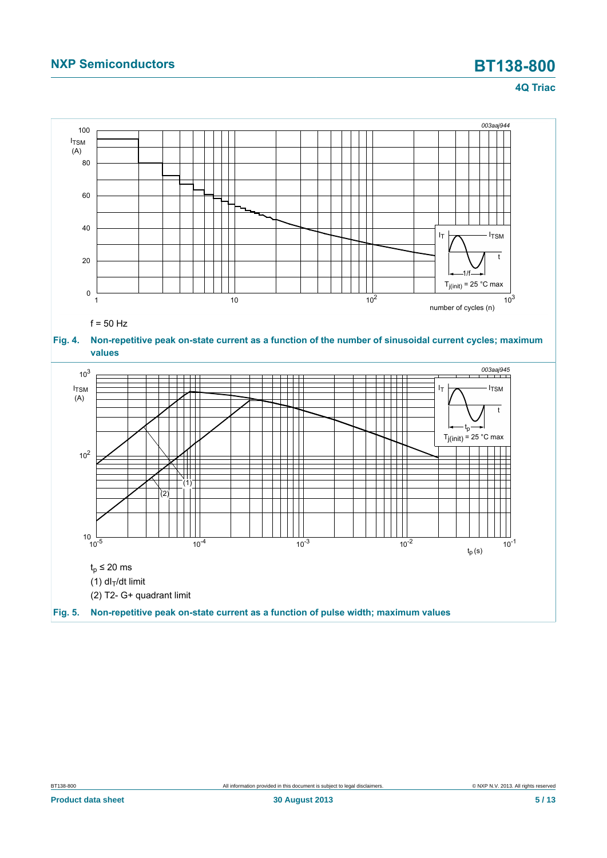### **4Q Triac**

<span id="page-4-1"></span><span id="page-4-0"></span>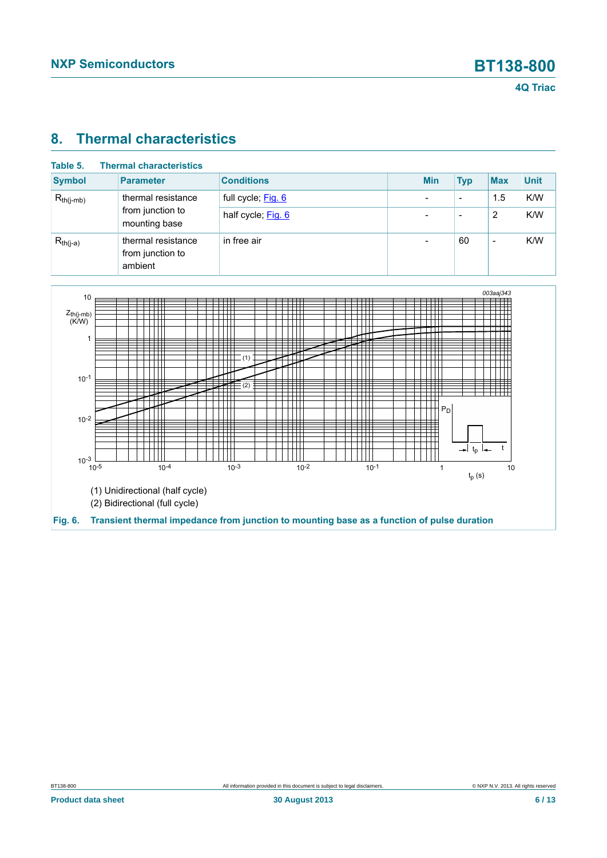# <span id="page-5-1"></span>**8. Thermal characteristics**

| Table 5.       | <b>Thermal characteristics</b>                    |                    |                          |                          |                          |             |
|----------------|---------------------------------------------------|--------------------|--------------------------|--------------------------|--------------------------|-------------|
| <b>Symbol</b>  | <b>Parameter</b>                                  | <b>Conditions</b>  | <b>Min</b>               | <b>Typ</b>               | <b>Max</b>               | <b>Unit</b> |
| $R_{th(j-mb)}$ | thermal resistance                                | full cycle; Fig. 6 | $\overline{\phantom{0}}$ | $\overline{\phantom{0}}$ | 1.5                      | K/W         |
|                | from junction to<br>mounting base                 | half cycle; Fig. 6 |                          | $\overline{\phantom{0}}$ | 2                        | K/W         |
| $R_{th(j-a)}$  | thermal resistance<br>from junction to<br>ambient | in free air        |                          | 60                       | $\overline{\phantom{0}}$ | K/W         |

<span id="page-5-0"></span>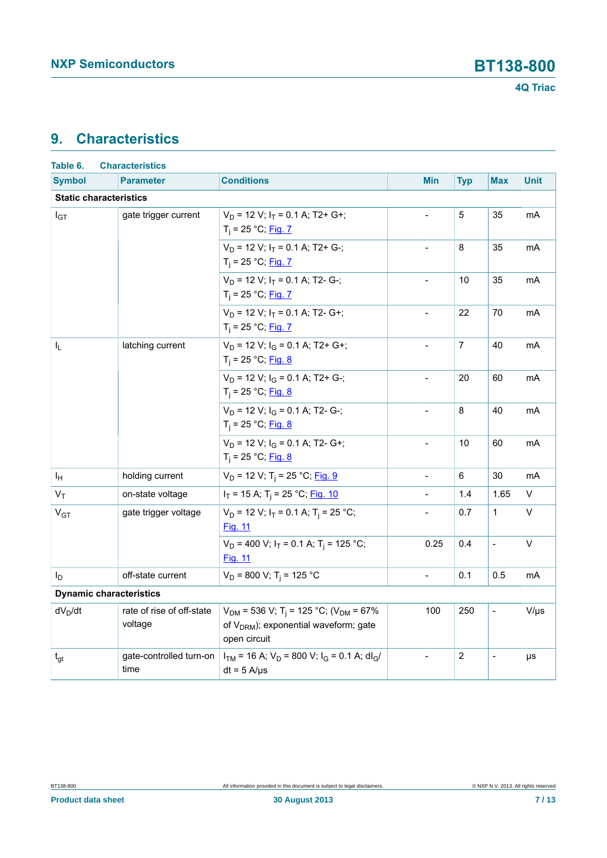# <span id="page-6-0"></span>**9. Characteristics**

| Table 6.                       | <b>Characteristics</b>               |                                                                                                                                        |                          |                |                |                |
|--------------------------------|--------------------------------------|----------------------------------------------------------------------------------------------------------------------------------------|--------------------------|----------------|----------------|----------------|
| <b>Symbol</b>                  | <b>Parameter</b>                     | <b>Conditions</b>                                                                                                                      | <b>Min</b>               | <b>Typ</b>     | <b>Max</b>     | <b>Unit</b>    |
| <b>Static characteristics</b>  |                                      |                                                                                                                                        |                          |                |                |                |
| $I_{GT}$                       | gate trigger current                 | $V_D$ = 12 V; $I_T$ = 0.1 A; T2+ G+;<br>$T_i = 25 °C;$ Fig. 7                                                                          | $\blacksquare$           | 5              | 35             | mA             |
|                                |                                      | $V_D$ = 12 V; $I_T$ = 0.1 A; T2+ G-;<br>$T_i = 25 °C;$ Fig. 7                                                                          |                          | 8              | 35             | mA             |
|                                |                                      | $V_D$ = 12 V; $I_T$ = 0.1 A; T2- G-;<br>$T_i = 25 °C;$ Fig. 7                                                                          | $\blacksquare$           | 10             | 35             | mA             |
|                                |                                      | $V_D$ = 12 V; $I_T$ = 0.1 A; T2- G+;<br>$T_i = 25 °C;$ Fig. 7                                                                          | $\blacksquare$           | 22             | 70             | mA             |
| I <sub>L</sub>                 | latching current                     | $V_D$ = 12 V; $I_G$ = 0.1 A; T2+ G+;<br>$T_i = 25 °C;$ Fig. 8                                                                          |                          | $\overline{7}$ | 40             | mA             |
|                                |                                      | $V_D$ = 12 V; $I_G$ = 0.1 A; T2+ G-;<br>$T_i = 25 °C;$ Fig. 8                                                                          | $\blacksquare$           | 20             | 60             | mA             |
|                                |                                      | $V_D$ = 12 V; $I_G$ = 0.1 A; T2- G-;<br>$T_i = 25 °C;$ Fig. 8                                                                          | $\blacksquare$           | 8              | 40             | mA             |
|                                |                                      | $V_D$ = 12 V; $I_G$ = 0.1 A; T2- G+;<br>$T_i = 25 °C;$ Fig. 8                                                                          | $\mathbf{r}$             | 10             | 60             | mA             |
| ΙH                             | holding current                      | $V_D$ = 12 V; T <sub>i</sub> = 25 °C; Fig. 9                                                                                           | $\overline{a}$           | 6              | 30             | m <sub>A</sub> |
| $V_T$                          | on-state voltage                     | $I_T$ = 15 A; T <sub>i</sub> = 25 °C; Fig. 10                                                                                          | $\blacksquare$           | 1.4            | 1.65           | V              |
| V <sub>GT</sub>                | gate trigger voltage                 | $V_D$ = 12 V; $I_T$ = 0.1 A; T <sub>i</sub> = 25 °C;<br><b>Fig. 11</b>                                                                 |                          | 0.7            | $\mathbf{1}$   | V              |
|                                |                                      | $V_D$ = 400 V; $I_T$ = 0.1 A; T <sub>i</sub> = 125 °C;<br><u>Fig. 11</u>                                                               | 0.25                     | 0.4            | $\overline{a}$ | V              |
| I <sub>D</sub>                 | off-state current                    | $V_D$ = 800 V; T <sub>i</sub> = 125 °C                                                                                                 | $\overline{\phantom{a}}$ | 0.1            | 0.5            | mA             |
| <b>Dynamic characteristics</b> |                                      |                                                                                                                                        |                          |                |                |                |
| $dV_D/dt$                      | rate of rise of off-state<br>voltage | $V_{DM}$ = 536 V; T <sub>i</sub> = 125 °C; (V <sub>DM</sub> = 67%<br>of V <sub>DRM</sub> ); exponential waveform; gate<br>open circuit | 100                      | 250            | $\frac{1}{2}$  | $V/\mu s$      |
| $t_{gt}$                       | gate-controlled turn-on<br>time      | $I_{TM}$ = 16 A; $V_D$ = 800 V; $I_G$ = 0.1 A; dl <sub>G</sub> /<br>$dt = 5$ A/ $\mu$ s                                                |                          | $\overline{2}$ |                | μs             |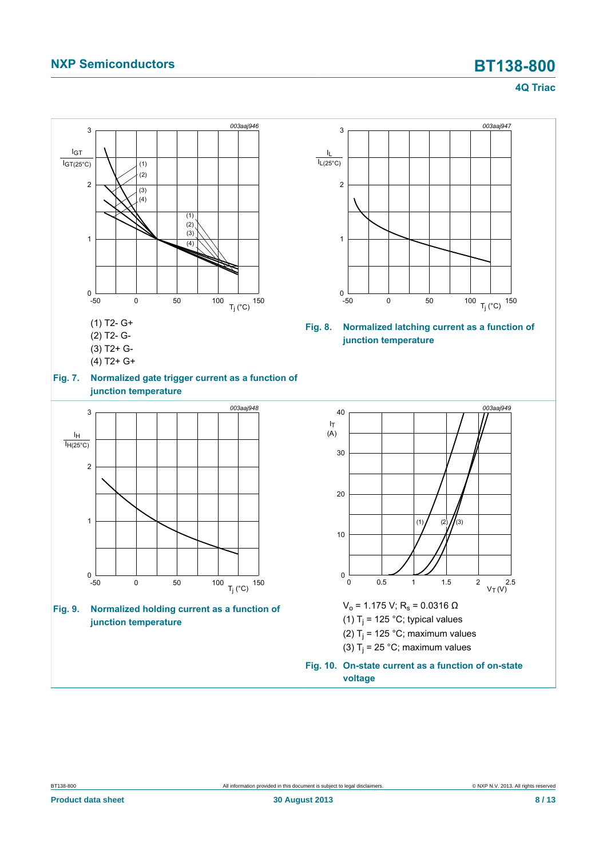### <span id="page-7-3"></span><span id="page-7-1"></span>**4Q Triac**

<span id="page-7-2"></span><span id="page-7-0"></span>

BT138-800 All information provided in this document is subject to legal disclaimers. © NXP N.V. 2013. All rights reserved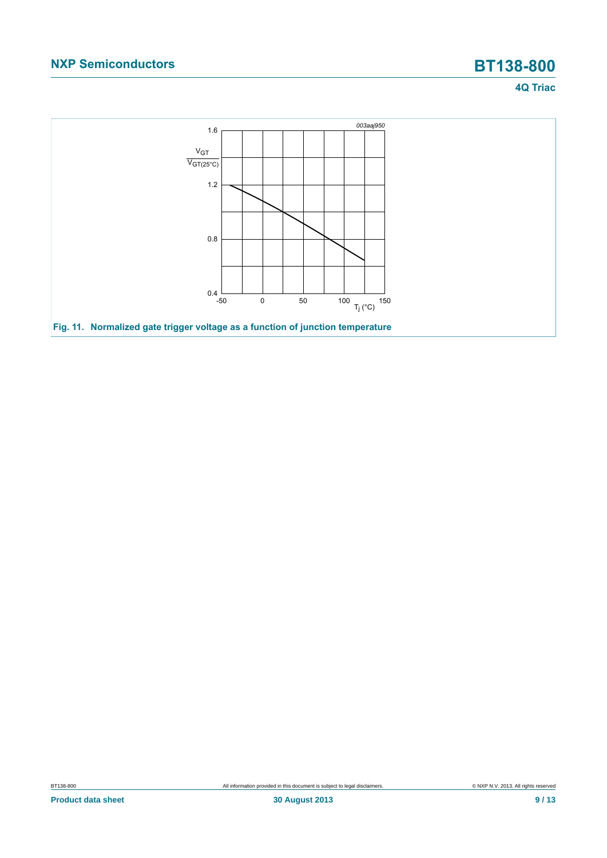## **4Q Triac**

<span id="page-8-0"></span>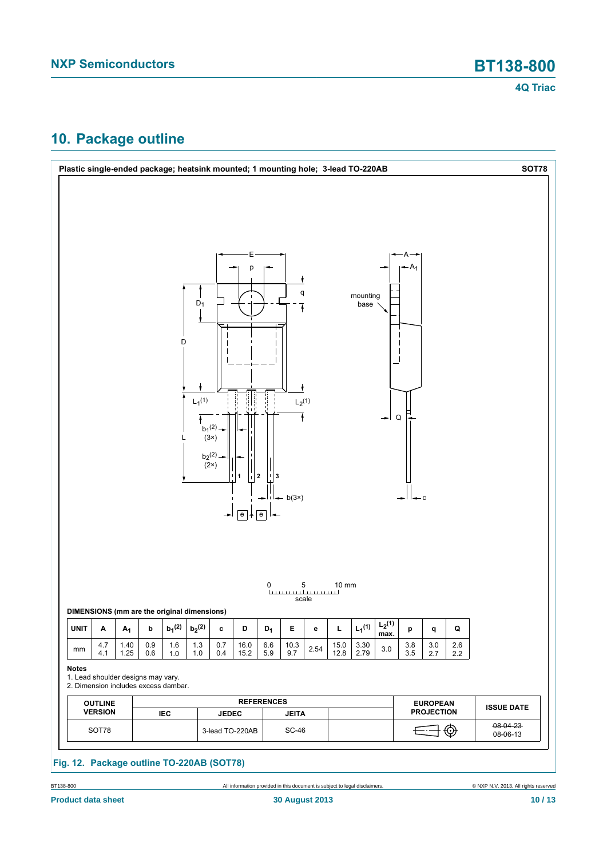# <span id="page-9-0"></span>**10. Package outline**



BT138-800 **All information provided in this document is subject to legal disclaimers.** © NXP N.V. 2013. All rights reserved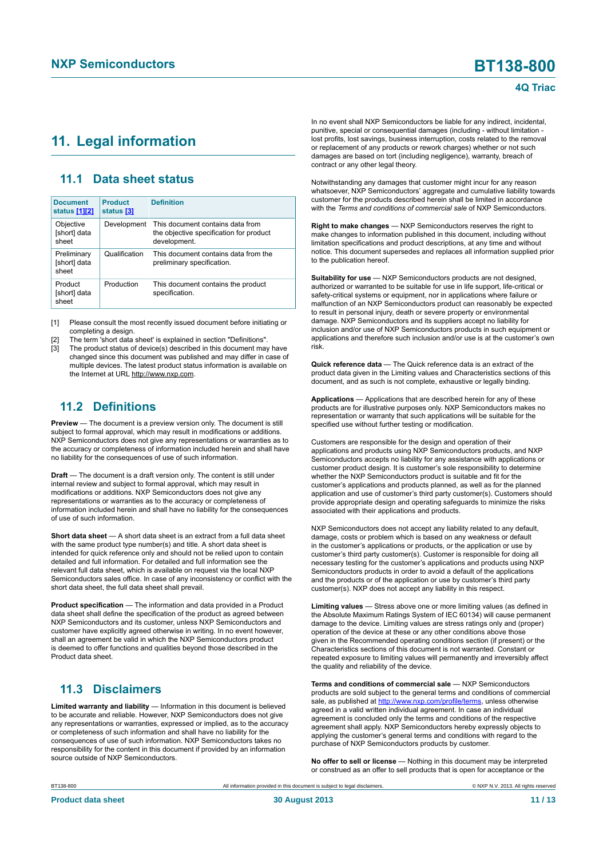## <span id="page-10-1"></span><span id="page-10-0"></span>**11. Legal information**

### <span id="page-10-2"></span>**11.1 Data sheet status**

| <b>Document</b><br>status [1][2]     | <b>Product</b><br>status [3] | <b>Definition</b>                                                                           |
|--------------------------------------|------------------------------|---------------------------------------------------------------------------------------------|
| Objective<br>[short] data<br>sheet   | Development                  | This document contains data from<br>the objective specification for product<br>development. |
| Preliminary<br>[short] data<br>sheet | Qualification                | This document contains data from the<br>preliminary specification.                          |
| Product<br>[short] data<br>sheet     | Production                   | This document contains the product<br>specification.                                        |

[1] Please consult the most recently issued document before initiating or completing a design.

[2] The term 'short data sheet' is explained in section "Definitions".

The product status of device(s) described in this document may have changed since this document was published and may differ in case of multiple devices. The latest product status information is available on the Internet at URL http://www.nxp.com.

### <span id="page-10-3"></span>**11.2 Definitions**

**Preview** — The document is a preview version only. The document is still subject to formal approval, which may result in modifications or additions. NXP Semiconductors does not give any representations or warranties as to the accuracy or completeness of information included herein and shall have no liability for the consequences of use of such information.

**Draft** — The document is a draft version only. The content is still under internal review and subject to formal approval, which may result in modifications or additions. NXP Semiconductors does not give any representations or warranties as to the accuracy or completeness of information included herein and shall have no liability for the consequences of use of such information.

**Short data sheet** — A short data sheet is an extract from a full data sheet with the same product type number(s) and title. A short data sheet is intended for quick reference only and should not be relied upon to contain detailed and full information. For detailed and full information see the relevant full data sheet, which is available on request via the local NXP Semiconductors sales office. In case of any inconsistency or conflict with the short data sheet, the full data sheet shall prevail.

**Product specification** — The information and data provided in a Product data sheet shall define the specification of the product as agreed between NXP Semiconductors and its customer, unless NXP Semiconductors and customer have explicitly agreed otherwise in writing. In no event however, shall an agreement be valid in which the NXP Semiconductors product is deemed to offer functions and qualities beyond those described in the Product data sheet.

## <span id="page-10-4"></span>**11.3 Disclaimers**

**Limited warranty and liability** — Information in this document is believed to be accurate and reliable. However, NXP Semiconductors does not give any representations or warranties, expressed or implied, as to the accuracy or completeness of such information and shall have no liability for the consequences of use of such information. NXP Semiconductors takes no responsibility for the content in this document if provided by an information source outside of NXP Semiconductors.

In no event shall NXP Semiconductors be liable for any indirect, incidental, punitive, special or consequential damages (including - without limitation lost profits, lost savings, business interruption, costs related to the removal or replacement of any products or rework charges) whether or not such damages are based on tort (including negligence), warranty, breach of contract or any other legal theory.

Notwithstanding any damages that customer might incur for any reason whatsoever, NXP Semiconductors' aggregate and cumulative liability towards customer for the products described herein shall be limited in accordance with the *Terms and conditions of commercial sale* of NXP Semiconductors.

**Right to make changes** — NXP Semiconductors reserves the right to make changes to information published in this document, including without limitation specifications and product descriptions, at any time and without notice. This document supersedes and replaces all information supplied prior to the publication hereof.

**Suitability for use** — NXP Semiconductors products are not designed, authorized or warranted to be suitable for use in life support, life-critical or safety-critical systems or equipment, nor in applications where failure or malfunction of an NXP Semiconductors product can reasonably be expected to result in personal injury, death or severe property or environmental damage. NXP Semiconductors and its suppliers accept no liability for inclusion and/or use of NXP Semiconductors products in such equipment or applications and therefore such inclusion and/or use is at the customer's own risk.

**Quick reference data** — The Quick reference data is an extract of the product data given in the Limiting values and Characteristics sections of this document, and as such is not complete, exhaustive or legally binding.

**Applications** — Applications that are described herein for any of these products are for illustrative purposes only. NXP Semiconductors makes no representation or warranty that such applications will be suitable for the specified use without further testing or modification.

Customers are responsible for the design and operation of their applications and products using NXP Semiconductors products, and NXP Semiconductors accepts no liability for any assistance with applications or customer product design. It is customer's sole responsibility to determine whether the NXP Semiconductors product is suitable and fit for the customer's applications and products planned, as well as for the planned application and use of customer's third party customer(s). Customers should provide appropriate design and operating safeguards to minimize the risks associated with their applications and products.

NXP Semiconductors does not accept any liability related to any default, damage, costs or problem which is based on any weakness or default in the customer's applications or products, or the application or use by customer's third party customer(s). Customer is responsible for doing all necessary testing for the customer's applications and products using NXP Semiconductors products in order to avoid a default of the applications and the products or of the application or use by customer's third party customer(s). NXP does not accept any liability in this respect.

**Limiting values** — Stress above one or more limiting values (as defined in the Absolute Maximum Ratings System of IEC 60134) will cause permanent damage to the device. Limiting values are stress ratings only and (proper) operation of the device at these or any other conditions above those given in the Recommended operating conditions section (if present) or the Characteristics sections of this document is not warranted. Constant or repeated exposure to limiting values will permanently and irreversibly affect the quality and reliability of the device.

**Terms and conditions of commercial sale** — NXP Semiconductors products are sold subject to the general terms and conditions of commercial sale, as published at<http://www.nxp.com/profile/terms>, unless otherwise agreed in a valid written individual agreement. In case an individual agreement is concluded only the terms and conditions of the respective agreement shall apply. NXP Semiconductors hereby expressly objects to applying the customer's general terms and conditions with regard to the purchase of NXP Semiconductors products by customer.

**No offer to sell or license** — Nothing in this document may be interpreted or construed as an offer to sell products that is open for acceptance or the

BT138-800 All information provided in this document is subject to legal disclaimers. © NXP N.V. 2013. All rights reserved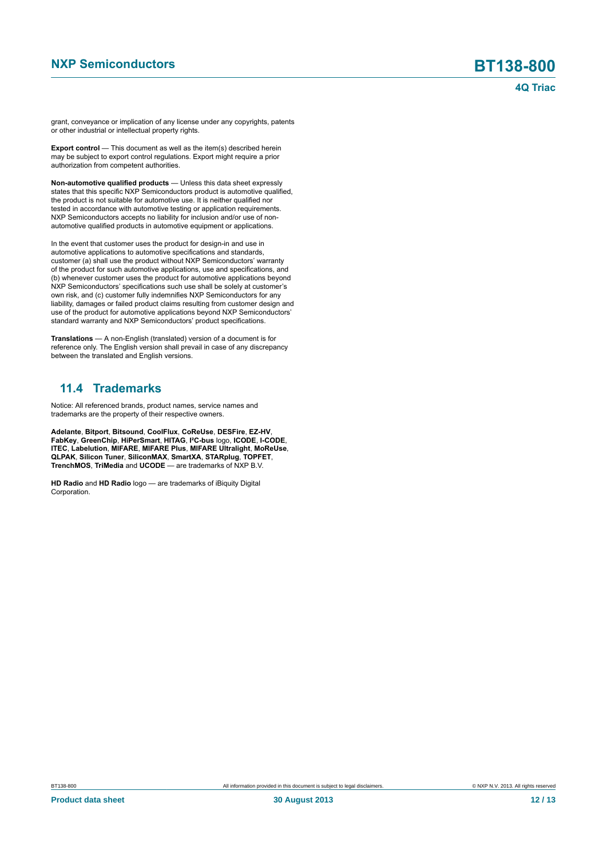grant, conveyance or implication of any license under any copyrights, patents or other industrial or intellectual property rights.

**Export control** — This document as well as the item(s) described herein may be subject to export control regulations. Export might require a prior authorization from competent authorities.

**Non-automotive qualified products** — Unless this data sheet expressly states that this specific NXP Semiconductors product is automotive qualified, the product is not suitable for automotive use. It is neither qualified nor tested in accordance with automotive testing or application requirements. NXP Semiconductors accepts no liability for inclusion and/or use of nonautomotive qualified products in automotive equipment or applications.

In the event that customer uses the product for design-in and use in automotive applications to automotive specifications and standards, customer (a) shall use the product without NXP Semiconductors' warranty of the product for such automotive applications, use and specifications, and (b) whenever customer uses the product for automotive applications beyond NXP Semiconductors' specifications such use shall be solely at customer's own risk, and (c) customer fully indemnifies NXP Semiconductors for any liability, damages or failed product claims resulting from customer design and use of the product for automotive applications beyond NXP Semiconductors' standard warranty and NXP Semiconductors' product specifications.

**Translations** — A non-English (translated) version of a document is for reference only. The English version shall prevail in case of any discrepancy between the translated and English versions.

### <span id="page-11-0"></span>**11.4 Trademarks**

Notice: All referenced brands, product names, service names and trademarks are the property of their respective owners.

**Adelante**, **Bitport**, **Bitsound**, **CoolFlux**, **CoReUse**, **DESFire**, **EZ-HV**, **FabKey**, **GreenChip**, **HiPerSmart**, **HITAG**, **I²C-bus** logo, **ICODE**, **I-CODE**, **ITEC**, **Labelution**, **MIFARE**, **MIFARE Plus**, **MIFARE Ultralight**, **MoReUse**, **QLPAK**, **Silicon Tuner**, **SiliconMAX**, **SmartXA**, **STARplug**, **TOPFET**, **TrenchMOS**, **TriMedia** and **UCODE** — are trademarks of NXP B.V.

**HD Radio** and **HD Radio** logo — are trademarks of iBiquity Digital Corporation.